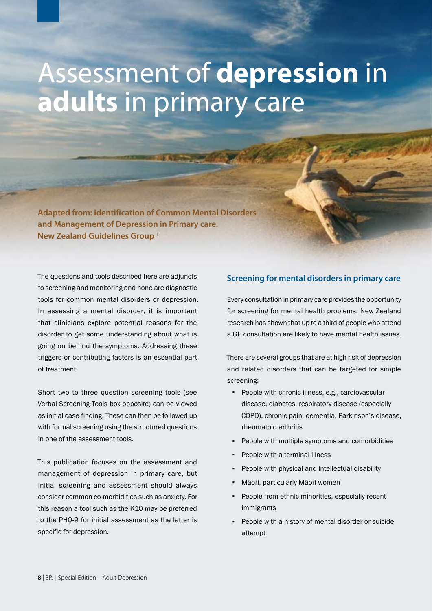# Assessment of **depression** in **adults** in primary care

**Adapted from: Identification of Common Mental Disorders and Management of Depression in Primary care. New Zealand Guidelines Group 1**

The questions and tools described here are adjuncts to screening and monitoring and none are diagnostic tools for common mental disorders or depression. In assessing a mental disorder, it is important that clinicians explore potential reasons for the disorder to get some understanding about what is going on behind the symptoms. Addressing these triggers or contributing factors is an essential part of treatment.

Short two to three question screening tools (see Verbal Screening Tools box opposite) can be viewed as initial case-finding. These can then be followed up with formal screening using the structured questions in one of the assessment tools.

This publication focuses on the assessment and management of depression in primary care, but initial screening and assessment should always consider common co-morbidities such as anxiety. For this reason a tool such as the K10 may be preferred to the PHQ-9 for initial assessment as the latter is specific for depression.

# **Screening for mental disorders in primary care**

Every consultation in primary care provides the opportunity for screening for mental health problems. New Zealand research has shown that up to a third of people who attend a GP consultation are likely to have mental health issues.

There are several groups that are at high risk of depression and related disorders that can be targeted for simple screening:

- People with chronic illness, e.g., cardiovascular disease, diabetes, respiratory disease (especially COPD), chronic pain, dementia, Parkinson's disease, rheumatoid arthritis
- People with multiple symptoms and comorbidities
- People with a terminal illness
- People with physical and intellectual disability
- Māori, particularly Māori women
- People from ethnic minorities, especially recent immigrants
- People with a history of mental disorder or suicide attempt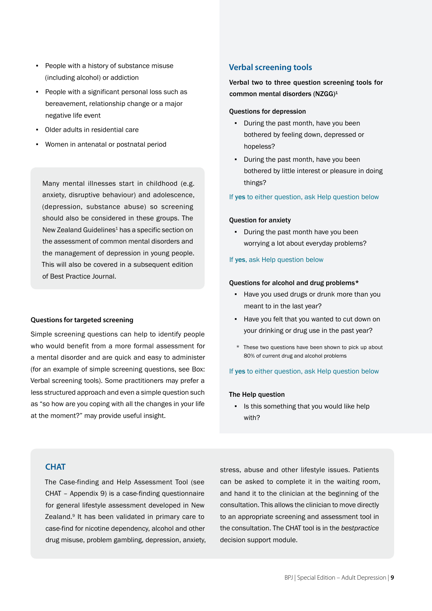- People with a history of substance misuse (including alcohol) or addiction
- People with a significant personal loss such as bereavement, relationship change or a major negative life event
- Older adults in residential care
- Women in antenatal or postnatal period

Many mental illnesses start in childhood (e.g. anxiety, disruptive behaviour) and adolescence, (depression, substance abuse) so screening should also be considered in these groups. The New Zealand Guidelines<sup>1</sup> has a specific section on the assessment of common mental disorders and the management of depression in young people. This will also be covered in a subsequent edition of Best Practice Journal.

#### **Questions for targeted screening**

Simple screening questions can help to identify people who would benefit from a more formal assessment for a mental disorder and are quick and easy to administer (for an example of simple screening questions, see Box: Verbal screening tools). Some practitioners may prefer a less structured approach and even a simple question such as "so how are you coping with all the changes in your life at the moment?" may provide useful insight.

# **Verbal screening tools**

Verbal two to three question screening tools for common mental disorders (NZGG)1

#### Questions for depression

- During the past month, have you been bothered by feeling down, depressed or hopeless?
- During the past month, have you been bothered by little interest or pleasure in doing things?

#### If yes to either question, ask Help question below

## Question for anxiety

▪ During the past month have you been worrying a lot about everyday problems?

# If yes, ask Help question below

## Questions for alcohol and drug problems\*

- Have you used drugs or drunk more than you meant to in the last year?
- Have you felt that you wanted to cut down on your drinking or drug use in the past year?
- \* These two questions have been shown to pick up about 80% of current drug and alcohol problems

# If yes to either question, ask Help question below

#### The Help question

▪ Is this something that you would like help with?

# **CHAT**

The Case-finding and Help Assessment Tool (see CHAT – Appendix 9) is a case-finding questionnaire for general lifestyle assessment developed in New Zealand.<sup>9</sup> It has been validated in primary care to case-find for nicotine dependency, alcohol and other drug misuse, problem gambling, depression, anxiety, stress, abuse and other lifestyle issues. Patients can be asked to complete it in the waiting room, and hand it to the clinician at the beginning of the consultation. This allows the clinician to move directly to an appropriate screening and assessment tool in the consultation. The CHAT tool is in the *bestpractice*  decision support module.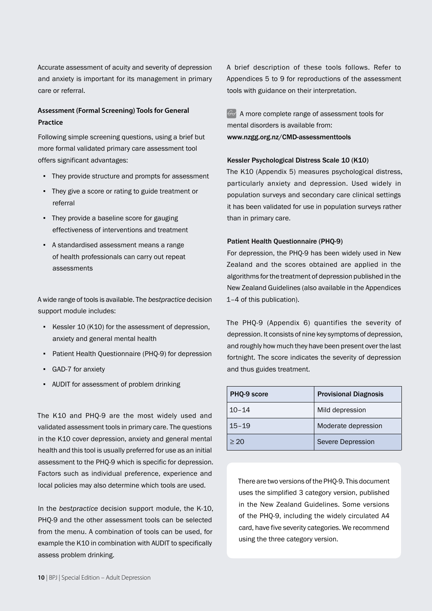Accurate assessment of acuity and severity of depression and anxiety is important for its management in primary care or referral.

# **Assessment (Formal Screening) Tools for General Practice**

Following simple screening questions, using a brief but more formal validated primary care assessment tool offers significant advantages:

- They provide structure and prompts for assessment
- They give a score or rating to guide treatment or referral
- They provide a baseline score for gauging effectiveness of interventions and treatment
- A standardised assessment means a range of health professionals can carry out repeat assessments

A wide range of tools is available. The *bestpractice* decision support module includes:

- Kessler 10 (K10) for the assessment of depression, anxiety and general mental health
- Patient Health Questionnaire (PHQ-9) for depression
- GAD-7 for anxiety
- AUDIT for assessment of problem drinking

The K10 and PHQ-9 are the most widely used and validated assessment tools in primary care. The questions in the K10 cover depression, anxiety and general mental health and this tool is usually preferred for use as an initial assessment to the PHQ-9 which is specific for depression. Factors such as individual preference, experience and local policies may also determine which tools are used.

In the *bestpractice* decision support module, the K-10, PHQ-9 and the other assessment tools can be selected from the menu. A combination of tools can be used, for example the K10 in combination with AUDIT to specifically assess problem drinking.

A brief description of these tools follows. Refer to Appendices 5 to 9 for reproductions of the assessment tools with guidance on their interpretation.

 $\odot$  A more complete range of assessment tools for mental disorders is available from: www.nzgg.org.nz/CMD-assessmenttools

## Kessler Psychological Distress Scale 10 (K10)

The K10 (Appendix 5) measures psychological distress, particularly anxiety and depression. Used widely in population surveys and secondary care clinical settings it has been validated for use in population surveys rather than in primary care.

# Patient Health Questionnaire (PHQ-9)

For depression, the PHQ-9 has been widely used in New Zealand and the scores obtained are applied in the algorithms for the treatment of depression published in the New Zealand Guidelines (also available in the Appendices 1–4 of this publication).

The PHQ-9 (Appendix 6) quantifies the severity of depression. It consists of nine key symptoms of depression, and roughly how much they have been present over the last fortnight. The score indicates the severity of depression and thus guides treatment.

| PHQ-9 score | <b>Provisional Diagnosis</b> |
|-------------|------------------------------|
| $10 - 14$   | Mild depression              |
| $15 - 19$   | Moderate depression          |
| > 20        | Severe Depression            |

There are two versions of the PHQ-9. This document uses the simplified 3 category version, published in the New Zealand Guidelines. Some versions of the PHQ-9, including the widely circulated A4 card, have five severity categories. We recommend using the three category version.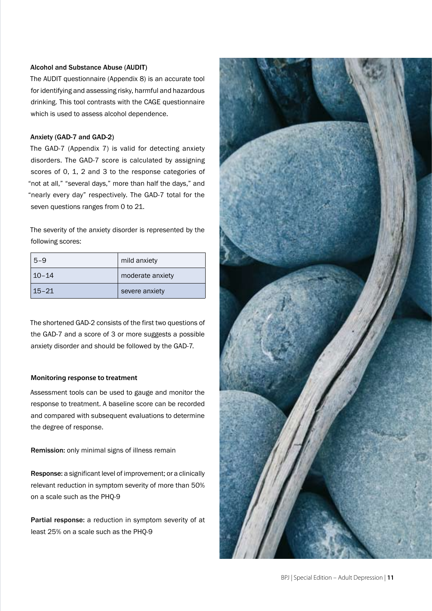# Alcohol and Substance Abuse (AUDIT)

The AUDIT questionnaire (Appendix 8) is an accurate tool for identifying and assessing risky, harmful and hazardous drinking. This tool contrasts with the CAGE questionnaire which is used to assess alcohol dependence.

## Anxiety (GAD-7 and GAD-2)

The GAD-7 (Appendix 7) is valid for detecting anxiety disorders. The GAD-7 score is calculated by assigning scores of 0, 1, 2 and 3 to the response categories of "not at all," "several days," more than half the days," and "nearly every day" respectively. The GAD-7 total for the seven questions ranges from 0 to 21.

The severity of the anxiety disorder is represented by the following scores:

| $5 - 9$   | mild anxiety     |
|-----------|------------------|
| $10 - 14$ | moderate anxiety |
| $15 - 21$ | severe anxiety   |

The shortened GAD-2 consists of the first two questions of the GAD-7 and a score of 3 or more suggests a possible anxiety disorder and should be followed by the GAD-7.

#### **Monitoring response to treatment**

Assessment tools can be used to gauge and monitor the response to treatment. A baseline score can be recorded and compared with subsequent evaluations to determine the degree of response.

Remission: only minimal signs of illness remain

Response: a significant level of improvement; or a clinically relevant reduction in symptom severity of more than 50% on a scale such as the PHQ-9

Partial response: a reduction in symptom severity of at least 25% on a scale such as the PHQ-9